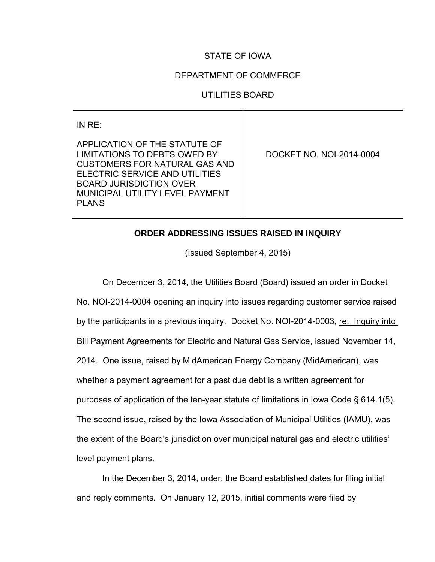# STATE OF IOWA

## DEPARTMENT OF COMMERCE

# UTILITIES BOARD

IN RE:

APPLICATION OF THE STATUTE OF LIMITATIONS TO DEBTS OWED BY CUSTOMERS FOR NATURAL GAS AND ELECTRIC SERVICE AND UTILITIES BOARD JURISDICTION OVER MUNICIPAL UTILITY LEVEL PAYMENT PLANS

DOCKET NO. NOI-2014-0004

## **ORDER ADDRESSING ISSUES RAISED IN INQUIRY**

(Issued September 4, 2015)

On December 3, 2014, the Utilities Board (Board) issued an order in Docket No. NOI-2014-0004 opening an inquiry into issues regarding customer service raised by the participants in a previous inquiry. Docket No. NOI-2014-0003, re: Inquiry into Bill Payment Agreements for Electric and Natural Gas Service, issued November 14, 2014. One issue, raised by MidAmerican Energy Company (MidAmerican), was whether a payment agreement for a past due debt is a written agreement for purposes of application of the ten-year statute of limitations in Iowa Code § 614.1(5). The second issue, raised by the Iowa Association of Municipal Utilities (IAMU), was the extent of the Board's jurisdiction over municipal natural gas and electric utilities' level payment plans.

In the December 3, 2014, order, the Board established dates for filing initial and reply comments. On January 12, 2015, initial comments were filed by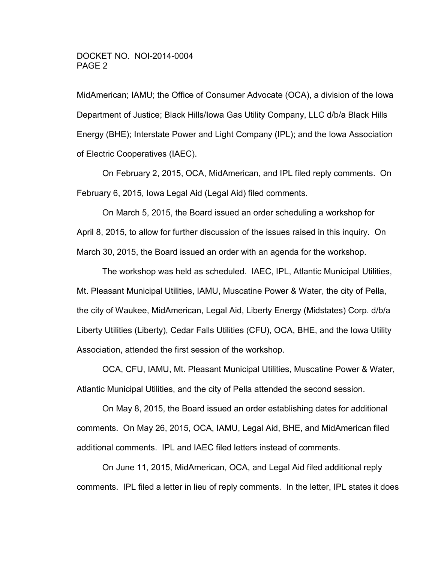MidAmerican; IAMU; the Office of Consumer Advocate (OCA), a division of the Iowa Department of Justice; Black Hills/Iowa Gas Utility Company, LLC d/b/a Black Hills Energy (BHE); Interstate Power and Light Company (IPL); and the Iowa Association of Electric Cooperatives (IAEC).

On February 2, 2015, OCA, MidAmerican, and IPL filed reply comments. On February 6, 2015, Iowa Legal Aid (Legal Aid) filed comments.

On March 5, 2015, the Board issued an order scheduling a workshop for April 8, 2015, to allow for further discussion of the issues raised in this inquiry. On March 30, 2015, the Board issued an order with an agenda for the workshop.

The workshop was held as scheduled. IAEC, IPL, Atlantic Municipal Utilities, Mt. Pleasant Municipal Utilities, IAMU, Muscatine Power & Water, the city of Pella, the city of Waukee, MidAmerican, Legal Aid, Liberty Energy (Midstates) Corp. d/b/a Liberty Utilities (Liberty), Cedar Falls Utilities (CFU), OCA, BHE, and the Iowa Utility Association, attended the first session of the workshop.

OCA, CFU, IAMU, Mt. Pleasant Municipal Utilities, Muscatine Power & Water, Atlantic Municipal Utilities, and the city of Pella attended the second session.

On May 8, 2015, the Board issued an order establishing dates for additional comments. On May 26, 2015, OCA, IAMU, Legal Aid, BHE, and MidAmerican filed additional comments. IPL and IAEC filed letters instead of comments.

On June 11, 2015, MidAmerican, OCA, and Legal Aid filed additional reply comments. IPL filed a letter in lieu of reply comments. In the letter, IPL states it does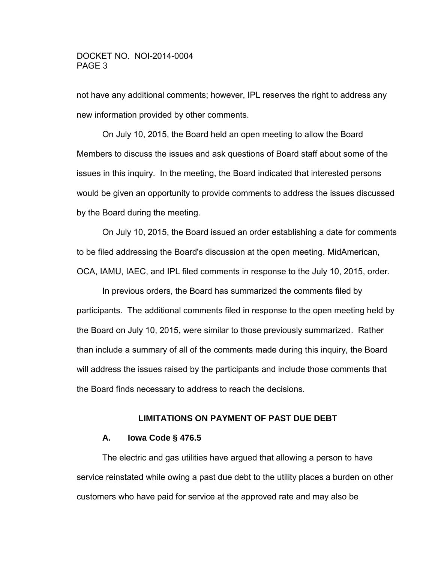not have any additional comments; however, IPL reserves the right to address any new information provided by other comments.

On July 10, 2015, the Board held an open meeting to allow the Board Members to discuss the issues and ask questions of Board staff about some of the issues in this inquiry. In the meeting, the Board indicated that interested persons would be given an opportunity to provide comments to address the issues discussed by the Board during the meeting.

On July 10, 2015, the Board issued an order establishing a date for comments to be filed addressing the Board's discussion at the open meeting. MidAmerican, OCA, IAMU, IAEC, and IPL filed comments in response to the July 10, 2015, order.

In previous orders, the Board has summarized the comments filed by participants. The additional comments filed in response to the open meeting held by the Board on July 10, 2015, were similar to those previously summarized. Rather than include a summary of all of the comments made during this inquiry, the Board will address the issues raised by the participants and include those comments that the Board finds necessary to address to reach the decisions.

### **LIMITATIONS ON PAYMENT OF PAST DUE DEBT**

### **A. Iowa Code § 476.5**

 The electric and gas utilities have argued that allowing a person to have service reinstated while owing a past due debt to the utility places a burden on other customers who have paid for service at the approved rate and may also be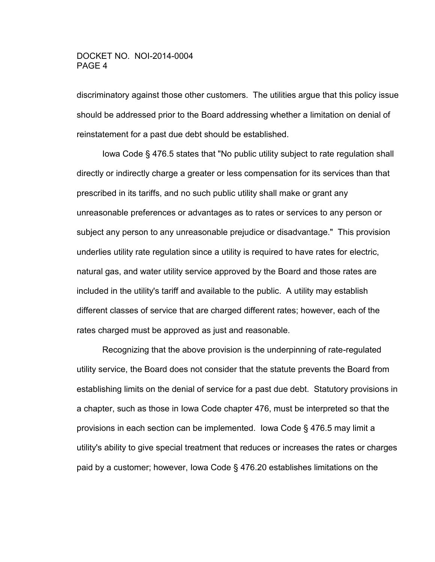discriminatory against those other customers. The utilities argue that this policy issue should be addressed prior to the Board addressing whether a limitation on denial of reinstatement for a past due debt should be established.

 Iowa Code § 476.5 states that "No public utility subject to rate regulation shall directly or indirectly charge a greater or less compensation for its services than that prescribed in its tariffs, and no such public utility shall make or grant any unreasonable preferences or advantages as to rates or services to any person or subject any person to any unreasonable prejudice or disadvantage." This provision underlies utility rate regulation since a utility is required to have rates for electric, natural gas, and water utility service approved by the Board and those rates are included in the utility's tariff and available to the public. A utility may establish different classes of service that are charged different rates; however, each of the rates charged must be approved as just and reasonable.

 Recognizing that the above provision is the underpinning of rate-regulated utility service, the Board does not consider that the statute prevents the Board from establishing limits on the denial of service for a past due debt. Statutory provisions in a chapter, such as those in Iowa Code chapter 476, must be interpreted so that the provisions in each section can be implemented. Iowa Code § 476.5 may limit a utility's ability to give special treatment that reduces or increases the rates or charges paid by a customer; however, Iowa Code § 476.20 establishes limitations on the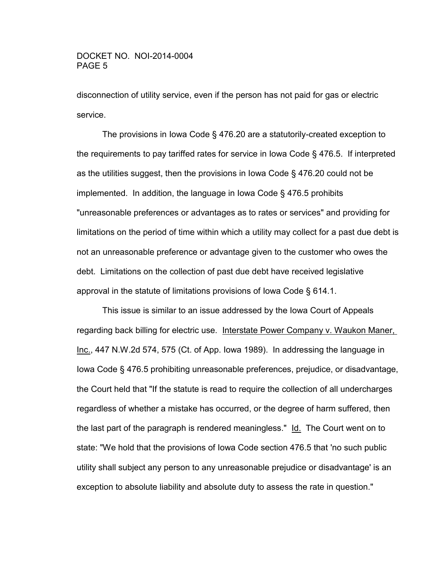disconnection of utility service, even if the person has not paid for gas or electric service.

 The provisions in Iowa Code § 476.20 are a statutorily-created exception to the requirements to pay tariffed rates for service in Iowa Code § 476.5. If interpreted as the utilities suggest, then the provisions in Iowa Code § 476.20 could not be implemented. In addition, the language in Iowa Code § 476.5 prohibits "unreasonable preferences or advantages as to rates or services" and providing for limitations on the period of time within which a utility may collect for a past due debt is not an unreasonable preference or advantage given to the customer who owes the debt. Limitations on the collection of past due debt have received legislative approval in the statute of limitations provisions of Iowa Code § 614.1.

 This issue is similar to an issue addressed by the Iowa Court of Appeals regarding back billing for electric use. Interstate Power Company v. Waukon Maner, Inc., 447 N.W.2d 574, 575 (Ct. of App. Iowa 1989). In addressing the language in Iowa Code § 476.5 prohibiting unreasonable preferences, prejudice, or disadvantage, the Court held that "If the statute is read to require the collection of all undercharges regardless of whether a mistake has occurred, or the degree of harm suffered, then the last part of the paragraph is rendered meaningless." Id. The Court went on to state: "We hold that the provisions of Iowa Code section 476.5 that 'no such public utility shall subject any person to any unreasonable prejudice or disadvantage' is an exception to absolute liability and absolute duty to assess the rate in question."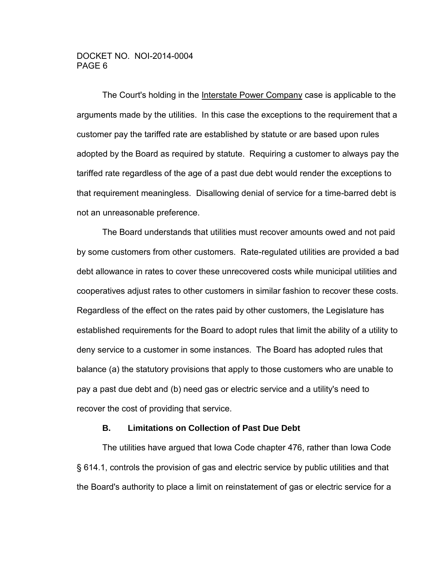The Court's holding in the Interstate Power Company case is applicable to the arguments made by the utilities. In this case the exceptions to the requirement that a customer pay the tariffed rate are established by statute or are based upon rules adopted by the Board as required by statute. Requiring a customer to always pay the tariffed rate regardless of the age of a past due debt would render the exceptions to that requirement meaningless. Disallowing denial of service for a time-barred debt is not an unreasonable preference.

 The Board understands that utilities must recover amounts owed and not paid by some customers from other customers. Rate-regulated utilities are provided a bad debt allowance in rates to cover these unrecovered costs while municipal utilities and cooperatives adjust rates to other customers in similar fashion to recover these costs. Regardless of the effect on the rates paid by other customers, the Legislature has established requirements for the Board to adopt rules that limit the ability of a utility to deny service to a customer in some instances. The Board has adopted rules that balance (a) the statutory provisions that apply to those customers who are unable to pay a past due debt and (b) need gas or electric service and a utility's need to recover the cost of providing that service.

### **B. Limitations on Collection of Past Due Debt**

The utilities have argued that Iowa Code chapter 476, rather than Iowa Code § 614.1, controls the provision of gas and electric service by public utilities and that the Board's authority to place a limit on reinstatement of gas or electric service for a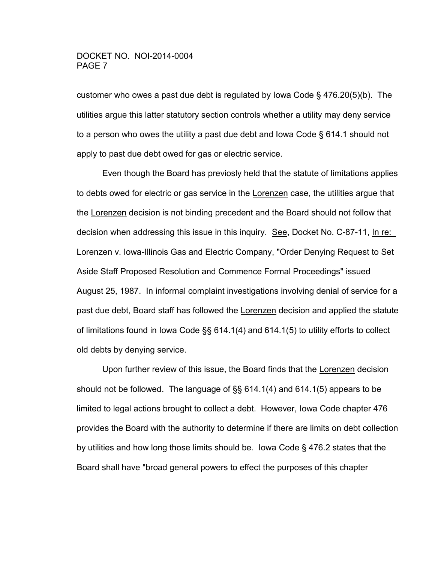customer who owes a past due debt is regulated by lowa Code  $\S$  476.20(5)(b). The utilities argue this latter statutory section controls whether a utility may deny service to a person who owes the utility a past due debt and Iowa Code § 614.1 should not apply to past due debt owed for gas or electric service.

 Even though the Board has previosly held that the statute of limitations applies to debts owed for electric or gas service in the Lorenzen case, the utilities argue that the Lorenzen decision is not binding precedent and the Board should not follow that decision when addressing this issue in this inquiry. See, Docket No. C-87-11, In re: Lorenzen v. Iowa-Illinois Gas and Electric Company, "Order Denying Request to Set Aside Staff Proposed Resolution and Commence Formal Proceedings" issued August 25, 1987. In informal complaint investigations involving denial of service for a past due debt, Board staff has followed the Lorenzen decision and applied the statute of limitations found in Iowa Code §§ 614.1(4) and 614.1(5) to utility efforts to collect old debts by denying service.

 Upon further review of this issue, the Board finds that the Lorenzen decision should not be followed. The language of §§ 614.1(4) and 614.1(5) appears to be limited to legal actions brought to collect a debt. However, Iowa Code chapter 476 provides the Board with the authority to determine if there are limits on debt collection by utilities and how long those limits should be. Iowa Code § 476.2 states that the Board shall have "broad general powers to effect the purposes of this chapter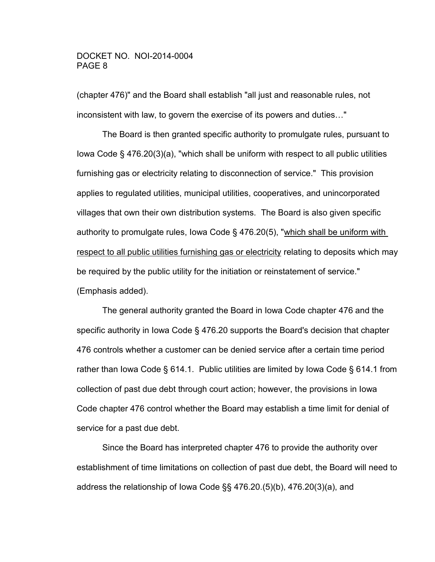(chapter 476)" and the Board shall establish "all just and reasonable rules, not inconsistent with law, to govern the exercise of its powers and duties…"

 The Board is then granted specific authority to promulgate rules, pursuant to Iowa Code § 476.20(3)(a), "which shall be uniform with respect to all public utilities furnishing gas or electricity relating to disconnection of service." This provision applies to regulated utilities, municipal utilities, cooperatives, and unincorporated villages that own their own distribution systems. The Board is also given specific authority to promulgate rules, Iowa Code § 476.20(5), "which shall be uniform with respect to all public utilities furnishing gas or electricity relating to deposits which may be required by the public utility for the initiation or reinstatement of service." (Emphasis added).

 The general authority granted the Board in Iowa Code chapter 476 and the specific authority in Iowa Code § 476.20 supports the Board's decision that chapter 476 controls whether a customer can be denied service after a certain time period rather than Iowa Code § 614.1. Public utilities are limited by Iowa Code § 614.1 from collection of past due debt through court action; however, the provisions in Iowa Code chapter 476 control whether the Board may establish a time limit for denial of service for a past due debt.

 Since the Board has interpreted chapter 476 to provide the authority over establishment of time limitations on collection of past due debt, the Board will need to address the relationship of Iowa Code §§ 476.20.(5)(b), 476.20(3)(a), and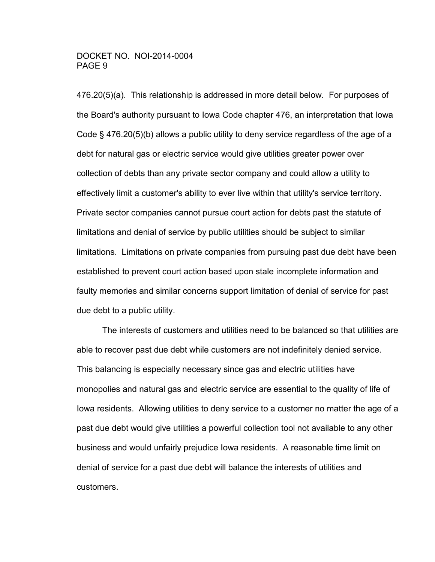476.20(5)(a). This relationship is addressed in more detail below. For purposes of the Board's authority pursuant to Iowa Code chapter 476, an interpretation that Iowa Code § 476.20(5)(b) allows a public utility to deny service regardless of the age of a debt for natural gas or electric service would give utilities greater power over collection of debts than any private sector company and could allow a utility to effectively limit a customer's ability to ever live within that utility's service territory. Private sector companies cannot pursue court action for debts past the statute of limitations and denial of service by public utilities should be subject to similar limitations. Limitations on private companies from pursuing past due debt have been established to prevent court action based upon stale incomplete information and faulty memories and similar concerns support limitation of denial of service for past due debt to a public utility.

 The interests of customers and utilities need to be balanced so that utilities are able to recover past due debt while customers are not indefinitely denied service. This balancing is especially necessary since gas and electric utilities have monopolies and natural gas and electric service are essential to the quality of life of Iowa residents. Allowing utilities to deny service to a customer no matter the age of a past due debt would give utilities a powerful collection tool not available to any other business and would unfairly prejudice Iowa residents. A reasonable time limit on denial of service for a past due debt will balance the interests of utilities and customers.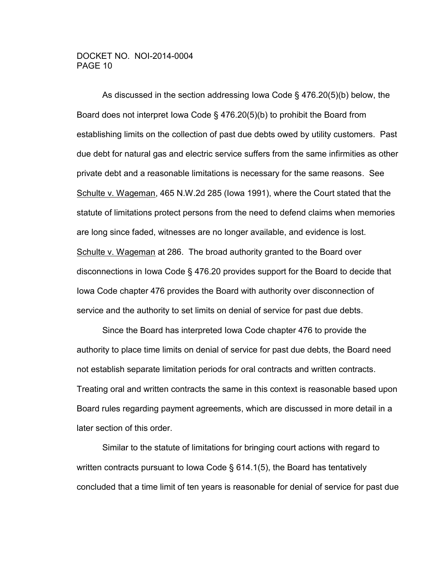As discussed in the section addressing Iowa Code § 476.20(5)(b) below, the Board does not interpret Iowa Code § 476.20(5)(b) to prohibit the Board from establishing limits on the collection of past due debts owed by utility customers. Past due debt for natural gas and electric service suffers from the same infirmities as other private debt and a reasonable limitations is necessary for the same reasons. See Schulte v. Wageman, 465 N.W.2d 285 (Iowa 1991), where the Court stated that the statute of limitations protect persons from the need to defend claims when memories are long since faded, witnesses are no longer available, and evidence is lost. Schulte v. Wageman at 286. The broad authority granted to the Board over disconnections in Iowa Code § 476.20 provides support for the Board to decide that Iowa Code chapter 476 provides the Board with authority over disconnection of service and the authority to set limits on denial of service for past due debts.

 Since the Board has interpreted Iowa Code chapter 476 to provide the authority to place time limits on denial of service for past due debts, the Board need not establish separate limitation periods for oral contracts and written contracts. Treating oral and written contracts the same in this context is reasonable based upon Board rules regarding payment agreements, which are discussed in more detail in a later section of this order.

 Similar to the statute of limitations for bringing court actions with regard to written contracts pursuant to Iowa Code § 614.1(5), the Board has tentatively concluded that a time limit of ten years is reasonable for denial of service for past due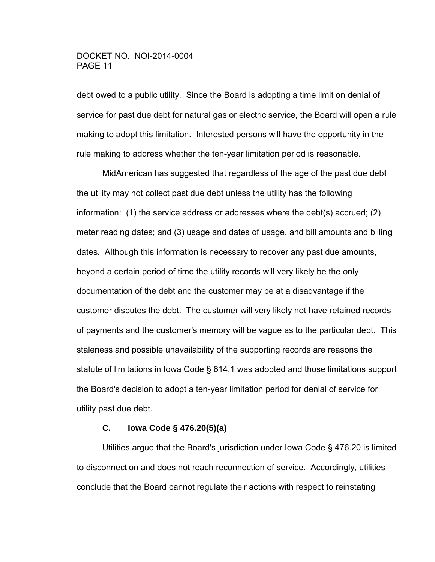debt owed to a public utility. Since the Board is adopting a time limit on denial of service for past due debt for natural gas or electric service, the Board will open a rule making to adopt this limitation. Interested persons will have the opportunity in the rule making to address whether the ten-year limitation period is reasonable.

 MidAmerican has suggested that regardless of the age of the past due debt the utility may not collect past due debt unless the utility has the following information: (1) the service address or addresses where the debt(s) accrued; (2) meter reading dates; and (3) usage and dates of usage, and bill amounts and billing dates. Although this information is necessary to recover any past due amounts, beyond a certain period of time the utility records will very likely be the only documentation of the debt and the customer may be at a disadvantage if the customer disputes the debt. The customer will very likely not have retained records of payments and the customer's memory will be vague as to the particular debt. This staleness and possible unavailability of the supporting records are reasons the statute of limitations in Iowa Code § 614.1 was adopted and those limitations support the Board's decision to adopt a ten-year limitation period for denial of service for utility past due debt.

### **C. Iowa Code § 476.20(5)(a)**

 Utilities argue that the Board's jurisdiction under Iowa Code § 476.20 is limited to disconnection and does not reach reconnection of service. Accordingly, utilities conclude that the Board cannot regulate their actions with respect to reinstating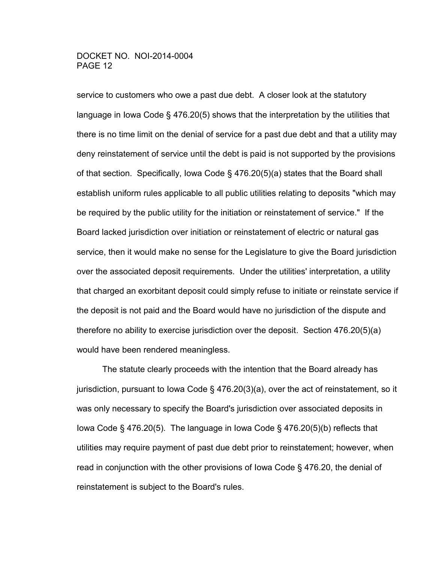service to customers who owe a past due debt. A closer look at the statutory language in Iowa Code § 476.20(5) shows that the interpretation by the utilities that there is no time limit on the denial of service for a past due debt and that a utility may deny reinstatement of service until the debt is paid is not supported by the provisions of that section. Specifically, Iowa Code § 476.20(5)(a) states that the Board shall establish uniform rules applicable to all public utilities relating to deposits "which may be required by the public utility for the initiation or reinstatement of service." If the Board lacked jurisdiction over initiation or reinstatement of electric or natural gas service, then it would make no sense for the Legislature to give the Board jurisdiction over the associated deposit requirements. Under the utilities' interpretation, a utility that charged an exorbitant deposit could simply refuse to initiate or reinstate service if the deposit is not paid and the Board would have no jurisdiction of the dispute and therefore no ability to exercise jurisdiction over the deposit. Section 476.20(5)(a) would have been rendered meaningless.

 The statute clearly proceeds with the intention that the Board already has jurisdiction, pursuant to Iowa Code § 476.20(3)(a), over the act of reinstatement, so it was only necessary to specify the Board's jurisdiction over associated deposits in Iowa Code § 476.20(5). The language in Iowa Code § 476.20(5)(b) reflects that utilities may require payment of past due debt prior to reinstatement; however, when read in conjunction with the other provisions of Iowa Code § 476.20, the denial of reinstatement is subject to the Board's rules.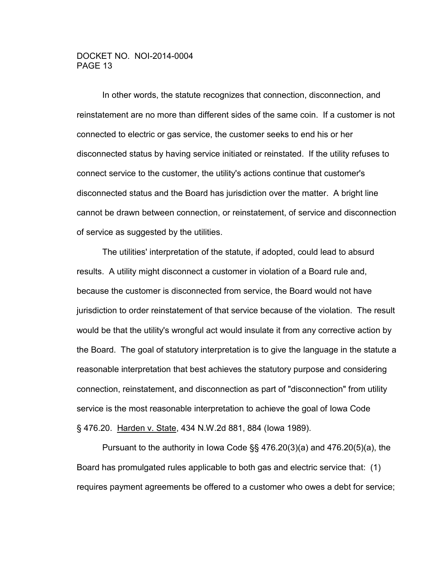In other words, the statute recognizes that connection, disconnection, and reinstatement are no more than different sides of the same coin. If a customer is not connected to electric or gas service, the customer seeks to end his or her disconnected status by having service initiated or reinstated. If the utility refuses to connect service to the customer, the utility's actions continue that customer's disconnected status and the Board has jurisdiction over the matter. A bright line cannot be drawn between connection, or reinstatement, of service and disconnection of service as suggested by the utilities.

 The utilities' interpretation of the statute, if adopted, could lead to absurd results. A utility might disconnect a customer in violation of a Board rule and, because the customer is disconnected from service, the Board would not have jurisdiction to order reinstatement of that service because of the violation. The result would be that the utility's wrongful act would insulate it from any corrective action by the Board. The goal of statutory interpretation is to give the language in the statute a reasonable interpretation that best achieves the statutory purpose and considering connection, reinstatement, and disconnection as part of "disconnection" from utility service is the most reasonable interpretation to achieve the goal of Iowa Code § 476.20. Harden v. State, 434 N.W.2d 881, 884 (lowa 1989).

 Pursuant to the authority in Iowa Code §§ 476.20(3)(a) and 476.20(5)(a), the Board has promulgated rules applicable to both gas and electric service that: (1) requires payment agreements be offered to a customer who owes a debt for service;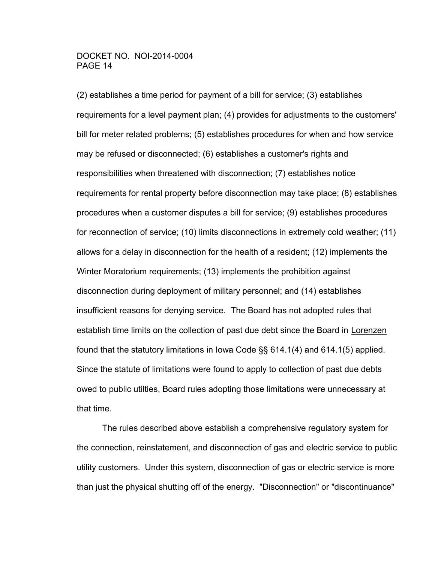(2) establishes a time period for payment of a bill for service; (3) establishes requirements for a level payment plan; (4) provides for adjustments to the customers' bill for meter related problems; (5) establishes procedures for when and how service may be refused or disconnected; (6) establishes a customer's rights and responsibilities when threatened with disconnection; (7) establishes notice requirements for rental property before disconnection may take place; (8) establishes procedures when a customer disputes a bill for service; (9) establishes procedures for reconnection of service; (10) limits disconnections in extremely cold weather; (11) allows for a delay in disconnection for the health of a resident; (12) implements the Winter Moratorium requirements; (13) implements the prohibition against disconnection during deployment of military personnel; and (14) establishes insufficient reasons for denying service. The Board has not adopted rules that establish time limits on the collection of past due debt since the Board in Lorenzen found that the statutory limitations in Iowa Code §§ 614.1(4) and 614.1(5) applied. Since the statute of limitations were found to apply to collection of past due debts owed to public utilties, Board rules adopting those limitations were unnecessary at that time.

 The rules described above establish a comprehensive regulatory system for the connection, reinstatement, and disconnection of gas and electric service to public utility customers. Under this system, disconnection of gas or electric service is more than just the physical shutting off of the energy. "Disconnection" or "discontinuance"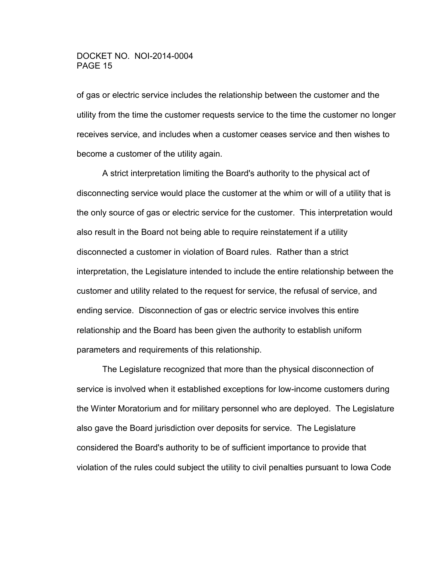of gas or electric service includes the relationship between the customer and the utility from the time the customer requests service to the time the customer no longer receives service, and includes when a customer ceases service and then wishes to become a customer of the utility again.

 A strict interpretation limiting the Board's authority to the physical act of disconnecting service would place the customer at the whim or will of a utility that is the only source of gas or electric service for the customer. This interpretation would also result in the Board not being able to require reinstatement if a utility disconnected a customer in violation of Board rules. Rather than a strict interpretation, the Legislature intended to include the entire relationship between the customer and utility related to the request for service, the refusal of service, and ending service. Disconnection of gas or electric service involves this entire relationship and the Board has been given the authority to establish uniform parameters and requirements of this relationship.

 The Legislature recognized that more than the physical disconnection of service is involved when it established exceptions for low-income customers during the Winter Moratorium and for military personnel who are deployed. The Legislature also gave the Board jurisdiction over deposits for service. The Legislature considered the Board's authority to be of sufficient importance to provide that violation of the rules could subject the utility to civil penalties pursuant to Iowa Code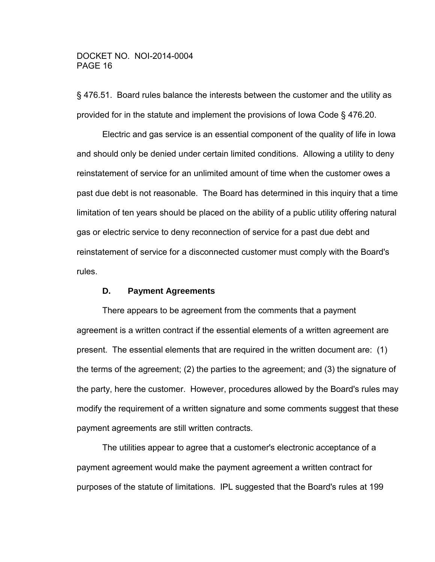§ 476.51. Board rules balance the interests between the customer and the utility as provided for in the statute and implement the provisions of Iowa Code § 476.20.

 Electric and gas service is an essential component of the quality of life in Iowa and should only be denied under certain limited conditions. Allowing a utility to deny reinstatement of service for an unlimited amount of time when the customer owes a past due debt is not reasonable. The Board has determined in this inquiry that a time limitation of ten years should be placed on the ability of a public utility offering natural gas or electric service to deny reconnection of service for a past due debt and reinstatement of service for a disconnected customer must comply with the Board's rules.

### **D. Payment Agreements**

 There appears to be agreement from the comments that a payment agreement is a written contract if the essential elements of a written agreement are present. The essential elements that are required in the written document are: (1) the terms of the agreement; (2) the parties to the agreement; and (3) the signature of the party, here the customer. However, procedures allowed by the Board's rules may modify the requirement of a written signature and some comments suggest that these payment agreements are still written contracts.

 The utilities appear to agree that a customer's electronic acceptance of a payment agreement would make the payment agreement a written contract for purposes of the statute of limitations. IPL suggested that the Board's rules at 199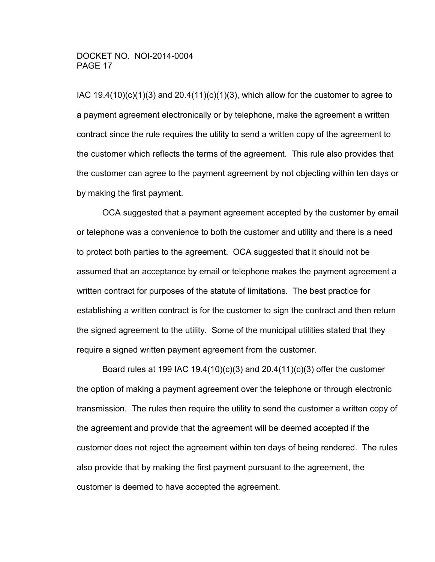IAC  $19.4(10)(c)(1)(3)$  and  $20.4(11)(c)(1)(3)$ , which allow for the customer to agree to a payment agreement electronically or by telephone, make the agreement a written contract since the rule requires the utility to send a written copy of the agreement to the customer which reflects the terms of the agreement. This rule also provides that the customer can agree to the payment agreement by not objecting within ten days or by making the first payment.

 OCA suggested that a payment agreement accepted by the customer by email or telephone was a convenience to both the customer and utility and there is a need to protect both parties to the agreement. OCA suggested that it should not be assumed that an acceptance by email or telephone makes the payment agreement a written contract for purposes of the statute of limitations. The best practice for establishing a written contract is for the customer to sign the contract and then return the signed agreement to the utility. Some of the municipal utilities stated that they require a signed written payment agreement from the customer.

 Board rules at 199 IAC 19.4(10)(c)(3) and 20.4(11)(c)(3) offer the customer the option of making a payment agreement over the telephone or through electronic transmission. The rules then require the utility to send the customer a written copy of the agreement and provide that the agreement will be deemed accepted if the customer does not reject the agreement within ten days of being rendered. The rules also provide that by making the first payment pursuant to the agreement, the customer is deemed to have accepted the agreement.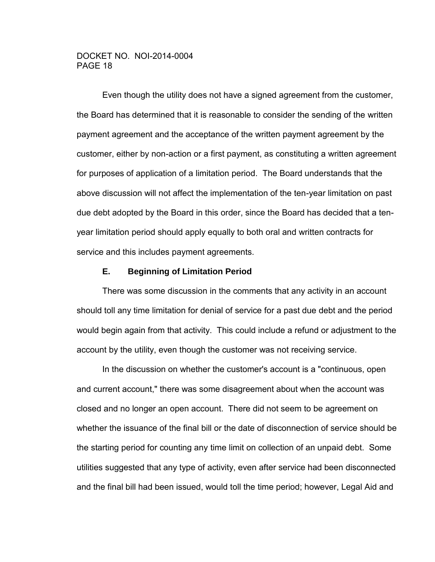Even though the utility does not have a signed agreement from the customer, the Board has determined that it is reasonable to consider the sending of the written payment agreement and the acceptance of the written payment agreement by the customer, either by non-action or a first payment, as constituting a written agreement for purposes of application of a limitation period. The Board understands that the above discussion will not affect the implementation of the ten-year limitation on past due debt adopted by the Board in this order, since the Board has decided that a tenyear limitation period should apply equally to both oral and written contracts for service and this includes payment agreements.

### **E. Beginning of Limitation Period**

 There was some discussion in the comments that any activity in an account should toll any time limitation for denial of service for a past due debt and the period would begin again from that activity. This could include a refund or adjustment to the account by the utility, even though the customer was not receiving service.

 In the discussion on whether the customer's account is a "continuous, open and current account," there was some disagreement about when the account was closed and no longer an open account. There did not seem to be agreement on whether the issuance of the final bill or the date of disconnection of service should be the starting period for counting any time limit on collection of an unpaid debt. Some utilities suggested that any type of activity, even after service had been disconnected and the final bill had been issued, would toll the time period; however, Legal Aid and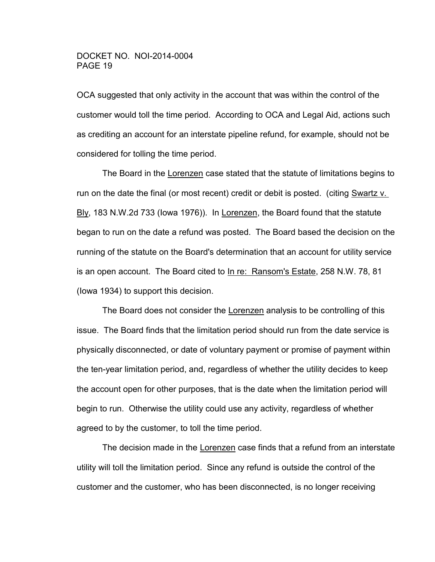OCA suggested that only activity in the account that was within the control of the customer would toll the time period. According to OCA and Legal Aid, actions such as crediting an account for an interstate pipeline refund, for example, should not be considered for tolling the time period.

 The Board in the Lorenzen case stated that the statute of limitations begins to run on the date the final (or most recent) credit or debit is posted. (citing Swartz v. Bly, 183 N.W.2d 733 (Iowa 1976)). In Lorenzen, the Board found that the statute began to run on the date a refund was posted. The Board based the decision on the running of the statute on the Board's determination that an account for utility service is an open account. The Board cited to In re: Ransom's Estate, 258 N.W. 78, 81 (Iowa 1934) to support this decision.

 The Board does not consider the Lorenzen analysis to be controlling of this issue. The Board finds that the limitation period should run from the date service is physically disconnected, or date of voluntary payment or promise of payment within the ten-year limitation period, and, regardless of whether the utility decides to keep the account open for other purposes, that is the date when the limitation period will begin to run. Otherwise the utility could use any activity, regardless of whether agreed to by the customer, to toll the time period.

The decision made in the Lorenzen case finds that a refund from an interstate utility will toll the limitation period. Since any refund is outside the control of the customer and the customer, who has been disconnected, is no longer receiving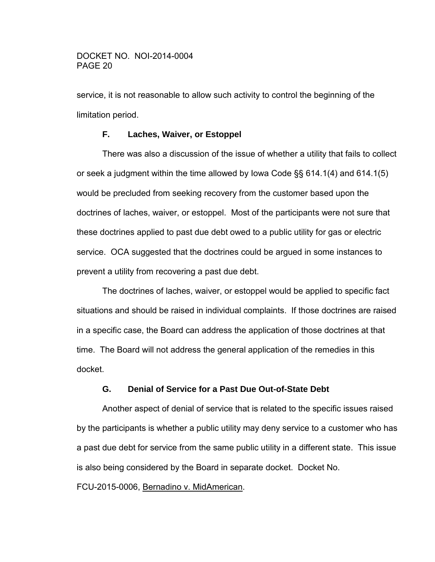service, it is not reasonable to allow such activity to control the beginning of the limitation period.

# **F. Laches, Waiver, or Estoppel**

 There was also a discussion of the issue of whether a utility that fails to collect or seek a judgment within the time allowed by Iowa Code §§ 614.1(4) and 614.1(5) would be precluded from seeking recovery from the customer based upon the doctrines of laches, waiver, or estoppel. Most of the participants were not sure that these doctrines applied to past due debt owed to a public utility for gas or electric service. OCA suggested that the doctrines could be argued in some instances to prevent a utility from recovering a past due debt.

 The doctrines of laches, waiver, or estoppel would be applied to specific fact situations and should be raised in individual complaints. If those doctrines are raised in a specific case, the Board can address the application of those doctrines at that time. The Board will not address the general application of the remedies in this docket.

# **G. Denial of Service for a Past Due Out-of-State Debt**

 Another aspect of denial of service that is related to the specific issues raised by the participants is whether a public utility may deny service to a customer who has a past due debt for service from the same public utility in a different state. This issue is also being considered by the Board in separate docket. Docket No.

FCU-2015-0006, Bernadino v. MidAmerican.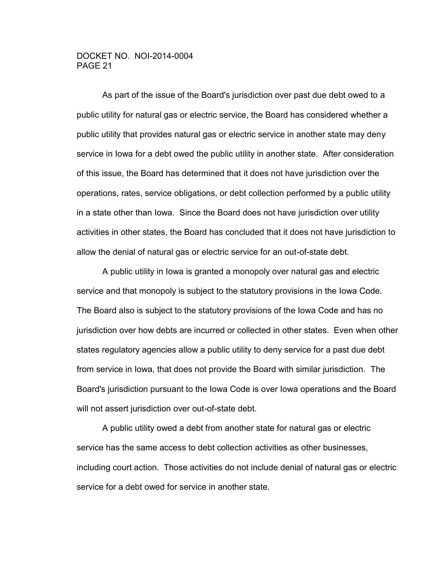As part of the issue of the Board's jurisdiction over past due debt owed to a public utility for natural gas or electric service, the Board has considered whether a public utility that provides natural gas or electric service in another state may deny service in Iowa for a debt owed the public utility in another state. After consideration of this issue, the Board has determined that it does not have jurisdiction over the operations, rates, service obligations, or debt collection performed by a public utility in a state other than Iowa. Since the Board does not have jurisdiction over utility activities in other states, the Board has concluded that it does not have jurisdiction to allow the denial of natural gas or electric service for an out-of-state debt.

 A public utility in Iowa is granted a monopoly over natural gas and electric service and that monopoly is subject to the statutory provisions in the Iowa Code. The Board also is subject to the statutory provisions of the Iowa Code and has no jurisdiction over how debts are incurred or collected in other states. Even when other states regulatory agencies allow a public utility to deny service for a past due debt from service in Iowa, that does not provide the Board with similar jurisdiction. The Board's jurisdiction pursuant to the Iowa Code is over Iowa operations and the Board will not assert jurisdiction over out-of-state debt.

 A public utility owed a debt from another state for natural gas or electric service has the same access to debt collection activities as other businesses, including court action. Those activities do not include denial of natural gas or electric service for a debt owed for service in another state.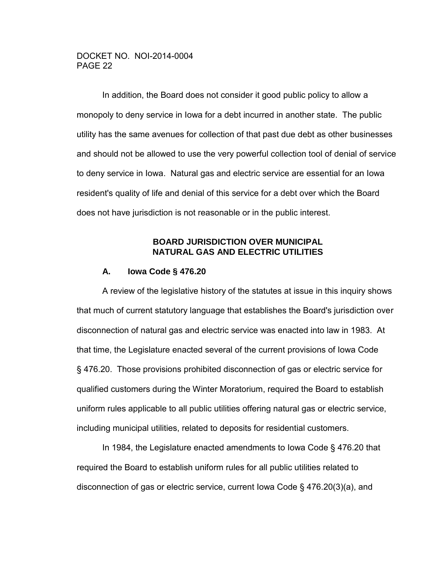In addition, the Board does not consider it good public policy to allow a monopoly to deny service in Iowa for a debt incurred in another state. The public utility has the same avenues for collection of that past due debt as other businesses and should not be allowed to use the very powerful collection tool of denial of service to deny service in Iowa. Natural gas and electric service are essential for an Iowa resident's quality of life and denial of this service for a debt over which the Board does not have jurisdiction is not reasonable or in the public interest.

# **BOARD JURISDICTION OVER MUNICIPAL NATURAL GAS AND ELECTRIC UTILITIES**

### **A. Iowa Code § 476.20**

 A review of the legislative history of the statutes at issue in this inquiry shows that much of current statutory language that establishes the Board's jurisdiction over disconnection of natural gas and electric service was enacted into law in 1983. At that time, the Legislature enacted several of the current provisions of Iowa Code § 476.20. Those provisions prohibited disconnection of gas or electric service for qualified customers during the Winter Moratorium, required the Board to establish uniform rules applicable to all public utilities offering natural gas or electric service, including municipal utilities, related to deposits for residential customers.

 In 1984, the Legislature enacted amendments to Iowa Code § 476.20 that required the Board to establish uniform rules for all public utilities related to disconnection of gas or electric service, current Iowa Code § 476.20(3)(a), and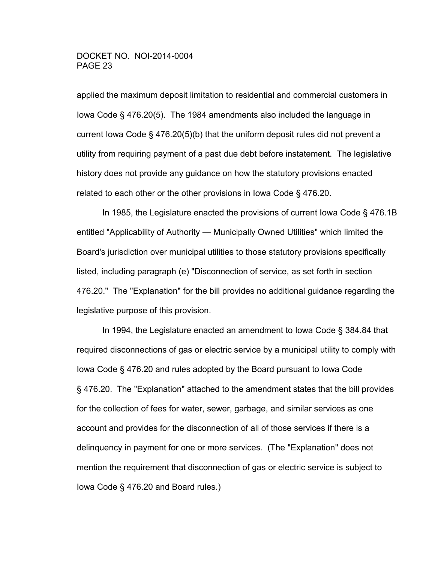applied the maximum deposit limitation to residential and commercial customers in Iowa Code § 476.20(5). The 1984 amendments also included the language in current Iowa Code § 476.20(5)(b) that the uniform deposit rules did not prevent a utility from requiring payment of a past due debt before instatement. The legislative history does not provide any guidance on how the statutory provisions enacted related to each other or the other provisions in Iowa Code § 476.20.

 In 1985, the Legislature enacted the provisions of current Iowa Code § 476.1B entitled "Applicability of Authority — Municipally Owned Utilities" which limited the Board's jurisdiction over municipal utilities to those statutory provisions specifically listed, including paragraph (e) "Disconnection of service, as set forth in section 476.20." The "Explanation" for the bill provides no additional guidance regarding the legislative purpose of this provision.

 In 1994, the Legislature enacted an amendment to Iowa Code § 384.84 that required disconnections of gas or electric service by a municipal utility to comply with Iowa Code § 476.20 and rules adopted by the Board pursuant to Iowa Code § 476.20. The "Explanation" attached to the amendment states that the bill provides for the collection of fees for water, sewer, garbage, and similar services as one account and provides for the disconnection of all of those services if there is a delinquency in payment for one or more services. (The "Explanation" does not mention the requirement that disconnection of gas or electric service is subject to Iowa Code § 476.20 and Board rules.)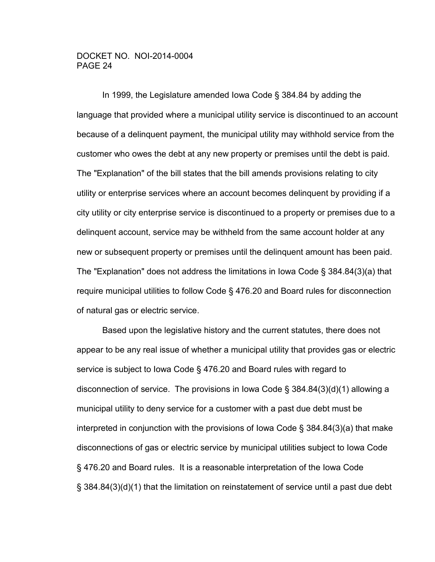In 1999, the Legislature amended Iowa Code § 384.84 by adding the language that provided where a municipal utility service is discontinued to an account because of a delinquent payment, the municipal utility may withhold service from the customer who owes the debt at any new property or premises until the debt is paid. The "Explanation" of the bill states that the bill amends provisions relating to city utility or enterprise services where an account becomes delinquent by providing if a city utility or city enterprise service is discontinued to a property or premises due to a delinquent account, service may be withheld from the same account holder at any new or subsequent property or premises until the delinquent amount has been paid. The "Explanation" does not address the limitations in Iowa Code § 384.84(3)(a) that require municipal utilities to follow Code § 476.20 and Board rules for disconnection of natural gas or electric service.

 Based upon the legislative history and the current statutes, there does not appear to be any real issue of whether a municipal utility that provides gas or electric service is subject to Iowa Code § 476.20 and Board rules with regard to disconnection of service. The provisions in Iowa Code § 384.84(3)(d)(1) allowing a municipal utility to deny service for a customer with a past due debt must be interpreted in conjunction with the provisions of Iowa Code § 384.84(3)(a) that make disconnections of gas or electric service by municipal utilities subject to Iowa Code § 476.20 and Board rules. It is a reasonable interpretation of the Iowa Code § 384.84(3)(d)(1) that the limitation on reinstatement of service until a past due debt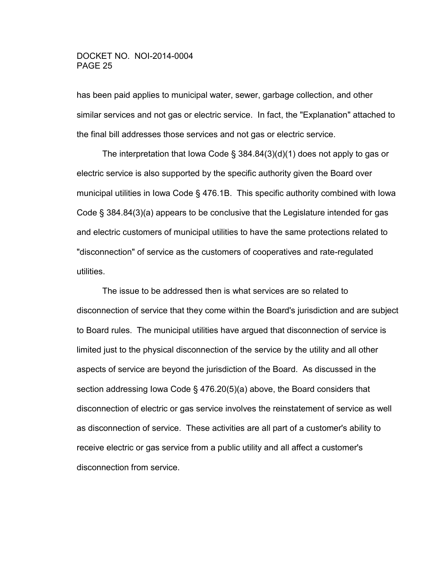has been paid applies to municipal water, sewer, garbage collection, and other similar services and not gas or electric service. In fact, the "Explanation" attached to the final bill addresses those services and not gas or electric service.

 The interpretation that Iowa Code § 384.84(3)(d)(1) does not apply to gas or electric service is also supported by the specific authority given the Board over municipal utilities in Iowa Code § 476.1B. This specific authority combined with Iowa Code § 384.84(3)(a) appears to be conclusive that the Legislature intended for gas and electric customers of municipal utilities to have the same protections related to "disconnection" of service as the customers of cooperatives and rate-regulated utilities.

 The issue to be addressed then is what services are so related to disconnection of service that they come within the Board's jurisdiction and are subject to Board rules. The municipal utilities have argued that disconnection of service is limited just to the physical disconnection of the service by the utility and all other aspects of service are beyond the jurisdiction of the Board. As discussed in the section addressing Iowa Code § 476.20(5)(a) above, the Board considers that disconnection of electric or gas service involves the reinstatement of service as well as disconnection of service. These activities are all part of a customer's ability to receive electric or gas service from a public utility and all affect a customer's disconnection from service.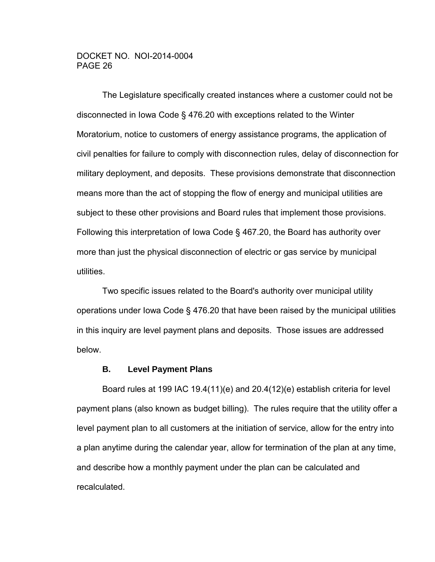The Legislature specifically created instances where a customer could not be disconnected in Iowa Code § 476.20 with exceptions related to the Winter Moratorium, notice to customers of energy assistance programs, the application of civil penalties for failure to comply with disconnection rules, delay of disconnection for military deployment, and deposits. These provisions demonstrate that disconnection means more than the act of stopping the flow of energy and municipal utilities are subject to these other provisions and Board rules that implement those provisions. Following this interpretation of Iowa Code § 467.20, the Board has authority over more than just the physical disconnection of electric or gas service by municipal utilities.

 Two specific issues related to the Board's authority over municipal utility operations under Iowa Code § 476.20 that have been raised by the municipal utilities in this inquiry are level payment plans and deposits. Those issues are addressed below.

### **B. Level Payment Plans**

 Board rules at 199 IAC 19.4(11)(e) and 20.4(12)(e) establish criteria for level payment plans (also known as budget billing). The rules require that the utility offer a level payment plan to all customers at the initiation of service, allow for the entry into a plan anytime during the calendar year, allow for termination of the plan at any time, and describe how a monthly payment under the plan can be calculated and recalculated.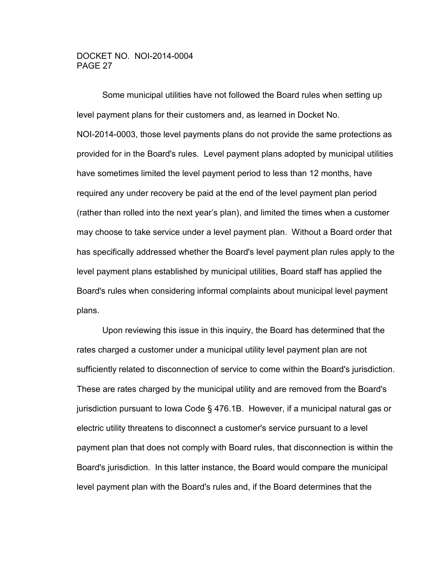Some municipal utilities have not followed the Board rules when setting up level payment plans for their customers and, as learned in Docket No. NOI-2014-0003, those level payments plans do not provide the same protections as provided for in the Board's rules. Level payment plans adopted by municipal utilities have sometimes limited the level payment period to less than 12 months, have required any under recovery be paid at the end of the level payment plan period (rather than rolled into the next year's plan), and limited the times when a customer may choose to take service under a level payment plan. Without a Board order that has specifically addressed whether the Board's level payment plan rules apply to the level payment plans established by municipal utilities, Board staff has applied the Board's rules when considering informal complaints about municipal level payment plans.

 Upon reviewing this issue in this inquiry, the Board has determined that the rates charged a customer under a municipal utility level payment plan are not sufficiently related to disconnection of service to come within the Board's jurisdiction. These are rates charged by the municipal utility and are removed from the Board's jurisdiction pursuant to Iowa Code § 476.1B. However, if a municipal natural gas or electric utility threatens to disconnect a customer's service pursuant to a level payment plan that does not comply with Board rules, that disconnection is within the Board's jurisdiction. In this latter instance, the Board would compare the municipal level payment plan with the Board's rules and, if the Board determines that the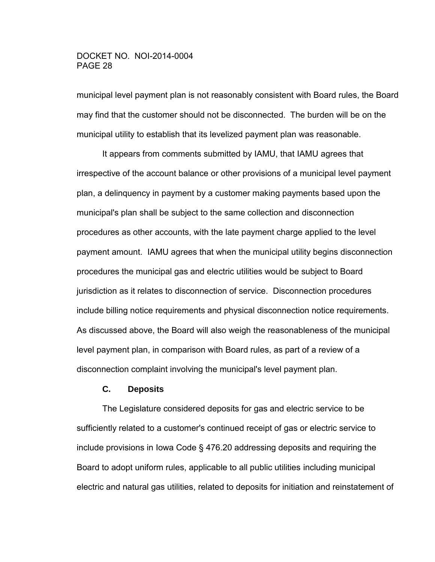municipal level payment plan is not reasonably consistent with Board rules, the Board may find that the customer should not be disconnected. The burden will be on the municipal utility to establish that its levelized payment plan was reasonable.

 It appears from comments submitted by IAMU, that IAMU agrees that irrespective of the account balance or other provisions of a municipal level payment plan, a delinquency in payment by a customer making payments based upon the municipal's plan shall be subject to the same collection and disconnection procedures as other accounts, with the late payment charge applied to the level payment amount. IAMU agrees that when the municipal utility begins disconnection procedures the municipal gas and electric utilities would be subject to Board jurisdiction as it relates to disconnection of service. Disconnection procedures include billing notice requirements and physical disconnection notice requirements. As discussed above, the Board will also weigh the reasonableness of the municipal level payment plan, in comparison with Board rules, as part of a review of a disconnection complaint involving the municipal's level payment plan.

### **C. Deposits**

 The Legislature considered deposits for gas and electric service to be sufficiently related to a customer's continued receipt of gas or electric service to include provisions in Iowa Code § 476.20 addressing deposits and requiring the Board to adopt uniform rules, applicable to all public utilities including municipal electric and natural gas utilities, related to deposits for initiation and reinstatement of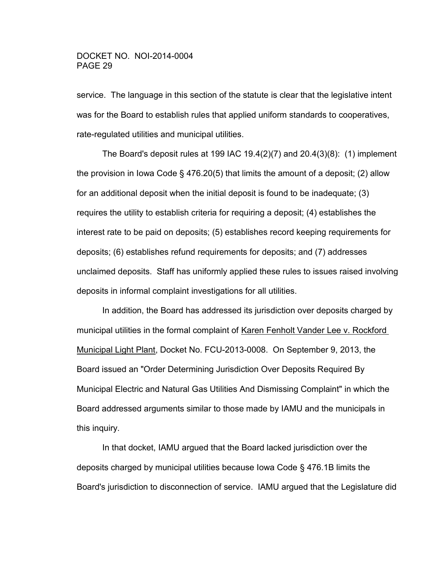service. The language in this section of the statute is clear that the legislative intent was for the Board to establish rules that applied uniform standards to cooperatives, rate-regulated utilities and municipal utilities.

The Board's deposit rules at 199 IAC 19.4(2)(7) and  $20.4(3)(8)$ : (1) implement the provision in Iowa Code § 476.20(5) that limits the amount of a deposit; (2) allow for an additional deposit when the initial deposit is found to be inadequate; (3) requires the utility to establish criteria for requiring a deposit; (4) establishes the interest rate to be paid on deposits; (5) establishes record keeping requirements for deposits; (6) establishes refund requirements for deposits; and (7) addresses unclaimed deposits. Staff has uniformly applied these rules to issues raised involving deposits in informal complaint investigations for all utilities.

 In addition, the Board has addressed its jurisdiction over deposits charged by municipal utilities in the formal complaint of Karen Fenholt Vander Lee v. Rockford Municipal Light Plant, Docket No. FCU-2013-0008. On September 9, 2013, the Board issued an "Order Determining Jurisdiction Over Deposits Required By Municipal Electric and Natural Gas Utilities And Dismissing Complaint" in which the Board addressed arguments similar to those made by IAMU and the municipals in this inquiry.

 In that docket, IAMU argued that the Board lacked jurisdiction over the deposits charged by municipal utilities because Iowa Code § 476.1B limits the Board's jurisdiction to disconnection of service. IAMU argued that the Legislature did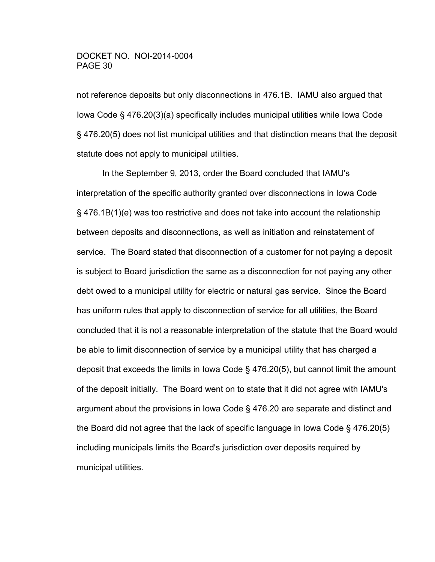not reference deposits but only disconnections in 476.1B. IAMU also argued that Iowa Code § 476.20(3)(a) specifically includes municipal utilities while Iowa Code § 476.20(5) does not list municipal utilities and that distinction means that the deposit statute does not apply to municipal utilities.

 In the September 9, 2013, order the Board concluded that IAMU's interpretation of the specific authority granted over disconnections in Iowa Code § 476.1B(1)(e) was too restrictive and does not take into account the relationship between deposits and disconnections, as well as initiation and reinstatement of service. The Board stated that disconnection of a customer for not paying a deposit is subject to Board jurisdiction the same as a disconnection for not paying any other debt owed to a municipal utility for electric or natural gas service. Since the Board has uniform rules that apply to disconnection of service for all utilities, the Board concluded that it is not a reasonable interpretation of the statute that the Board would be able to limit disconnection of service by a municipal utility that has charged a deposit that exceeds the limits in Iowa Code § 476.20(5), but cannot limit the amount of the deposit initially. The Board went on to state that it did not agree with IAMU's argument about the provisions in Iowa Code § 476.20 are separate and distinct and the Board did not agree that the lack of specific language in Iowa Code § 476.20(5) including municipals limits the Board's jurisdiction over deposits required by municipal utilities.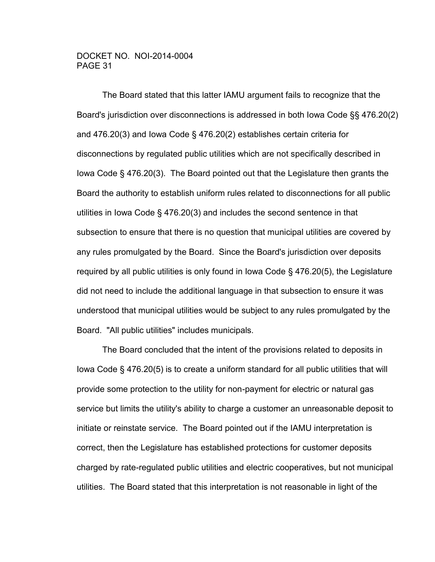The Board stated that this latter IAMU argument fails to recognize that the Board's jurisdiction over disconnections is addressed in both Iowa Code §§ 476.20(2) and 476.20(3) and Iowa Code § 476.20(2) establishes certain criteria for disconnections by regulated public utilities which are not specifically described in Iowa Code § 476.20(3). The Board pointed out that the Legislature then grants the Board the authority to establish uniform rules related to disconnections for all public utilities in Iowa Code § 476.20(3) and includes the second sentence in that subsection to ensure that there is no question that municipal utilities are covered by any rules promulgated by the Board. Since the Board's jurisdiction over deposits required by all public utilities is only found in Iowa Code § 476.20(5), the Legislature did not need to include the additional language in that subsection to ensure it was understood that municipal utilities would be subject to any rules promulgated by the Board. "All public utilities" includes municipals.

 The Board concluded that the intent of the provisions related to deposits in Iowa Code § 476.20(5) is to create a uniform standard for all public utilities that will provide some protection to the utility for non-payment for electric or natural gas service but limits the utility's ability to charge a customer an unreasonable deposit to initiate or reinstate service. The Board pointed out if the IAMU interpretation is correct, then the Legislature has established protections for customer deposits charged by rate-regulated public utilities and electric cooperatives, but not municipal utilities. The Board stated that this interpretation is not reasonable in light of the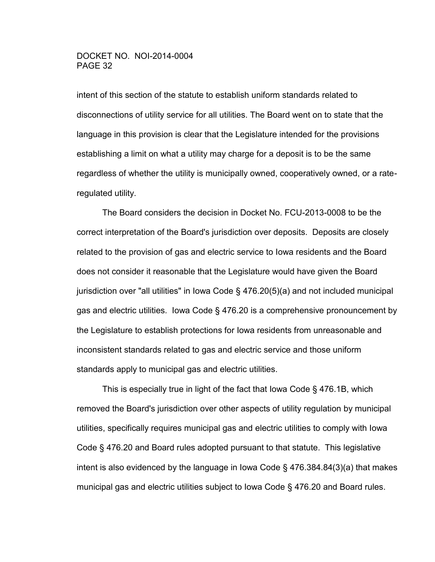intent of this section of the statute to establish uniform standards related to disconnections of utility service for all utilities. The Board went on to state that the language in this provision is clear that the Legislature intended for the provisions establishing a limit on what a utility may charge for a deposit is to be the same regardless of whether the utility is municipally owned, cooperatively owned, or a rateregulated utility.

 The Board considers the decision in Docket No. FCU-2013-0008 to be the correct interpretation of the Board's jurisdiction over deposits. Deposits are closely related to the provision of gas and electric service to Iowa residents and the Board does not consider it reasonable that the Legislature would have given the Board jurisdiction over "all utilities" in Iowa Code § 476.20(5)(a) and not included municipal gas and electric utilities. Iowa Code § 476.20 is a comprehensive pronouncement by the Legislature to establish protections for Iowa residents from unreasonable and inconsistent standards related to gas and electric service and those uniform standards apply to municipal gas and electric utilities.

 This is especially true in light of the fact that Iowa Code § 476.1B, which removed the Board's jurisdiction over other aspects of utility regulation by municipal utilities, specifically requires municipal gas and electric utilities to comply with Iowa Code § 476.20 and Board rules adopted pursuant to that statute. This legislative intent is also evidenced by the language in Iowa Code § 476.384.84(3)(a) that makes municipal gas and electric utilities subject to Iowa Code § 476.20 and Board rules.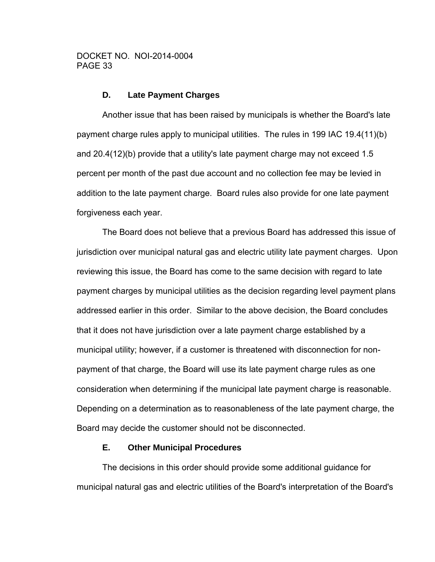### **D. Late Payment Charges**

 Another issue that has been raised by municipals is whether the Board's late payment charge rules apply to municipal utilities. The rules in 199 IAC 19.4(11)(b) and 20.4(12)(b) provide that a utility's late payment charge may not exceed 1.5 percent per month of the past due account and no collection fee may be levied in addition to the late payment charge. Board rules also provide for one late payment forgiveness each year.

The Board does not believe that a previous Board has addressed this issue of jurisdiction over municipal natural gas and electric utility late payment charges. Upon reviewing this issue, the Board has come to the same decision with regard to late payment charges by municipal utilities as the decision regarding level payment plans addressed earlier in this order. Similar to the above decision, the Board concludes that it does not have jurisdiction over a late payment charge established by a municipal utility; however, if a customer is threatened with disconnection for nonpayment of that charge, the Board will use its late payment charge rules as one consideration when determining if the municipal late payment charge is reasonable. Depending on a determination as to reasonableness of the late payment charge, the Board may decide the customer should not be disconnected.

### **E. Other Municipal Procedures**

 The decisions in this order should provide some additional guidance for municipal natural gas and electric utilities of the Board's interpretation of the Board's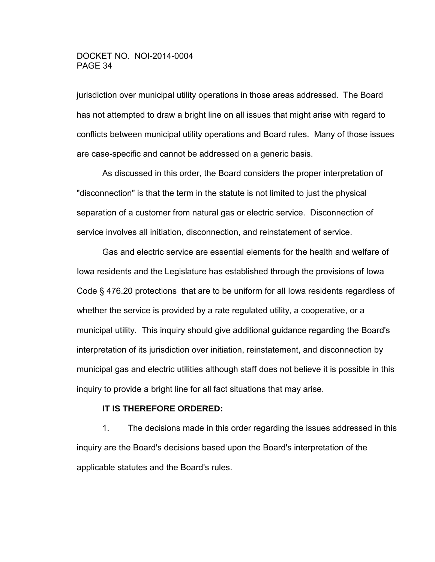jurisdiction over municipal utility operations in those areas addressed. The Board has not attempted to draw a bright line on all issues that might arise with regard to conflicts between municipal utility operations and Board rules. Many of those issues are case-specific and cannot be addressed on a generic basis.

 As discussed in this order, the Board considers the proper interpretation of "disconnection" is that the term in the statute is not limited to just the physical separation of a customer from natural gas or electric service. Disconnection of service involves all initiation, disconnection, and reinstatement of service.

 Gas and electric service are essential elements for the health and welfare of Iowa residents and the Legislature has established through the provisions of Iowa Code § 476.20 protections that are to be uniform for all Iowa residents regardless of whether the service is provided by a rate regulated utility, a cooperative, or a municipal utility. This inquiry should give additional guidance regarding the Board's interpretation of its jurisdiction over initiation, reinstatement, and disconnection by municipal gas and electric utilities although staff does not believe it is possible in this inquiry to provide a bright line for all fact situations that may arise.

### **IT IS THEREFORE ORDERED:**

1. The decisions made in this order regarding the issues addressed in this inquiry are the Board's decisions based upon the Board's interpretation of the applicable statutes and the Board's rules.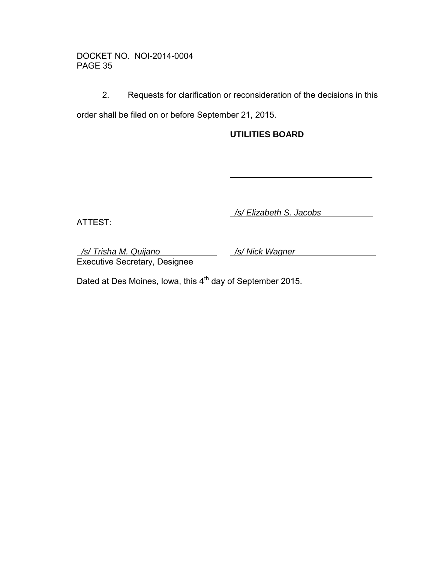2. Requests for clarification or reconsideration of the decisions in this

order shall be filed on or before September 21, 2015.

# **UTILITIES BOARD**

ATTEST:

*/s/ Elizabeth S. Jacobs* 

*/s/ Trisha M. Quijano /s/ Nick Wagner* Executive Secretary, Designee

Dated at Des Moines, Iowa, this 4<sup>th</sup> day of September 2015.